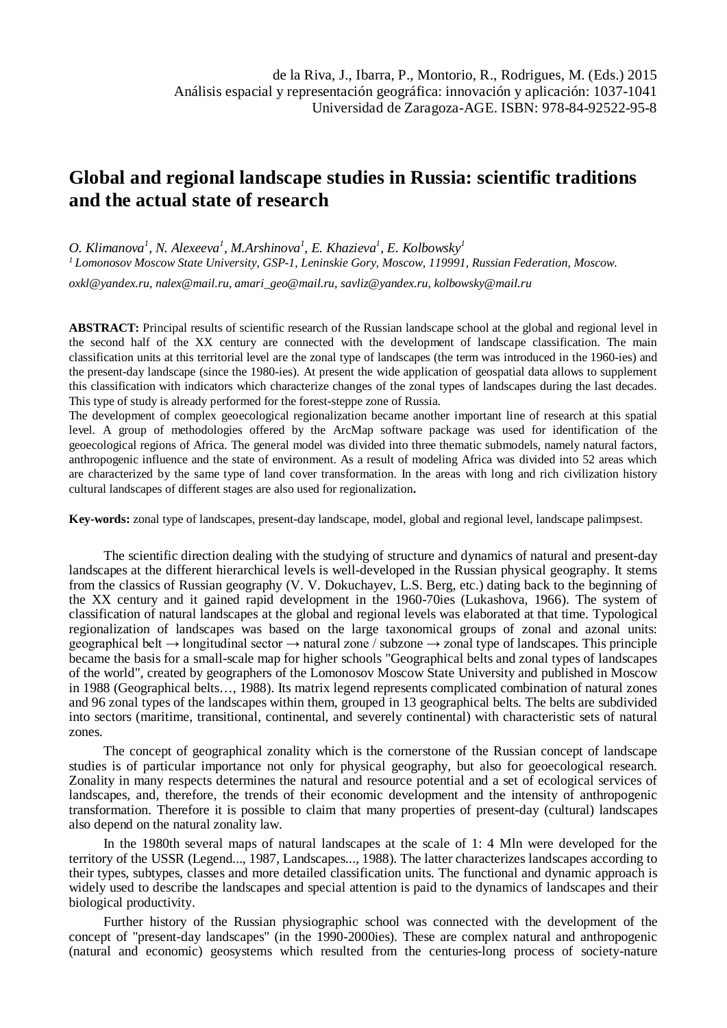## **Global and regional landscape studies in Russia: scientific traditions and the actual state of research**

*O. Klimanova<sup>1</sup> , N. Alexeeva<sup>1</sup> , M.Arshinova<sup>1</sup> , E. Khazieva1 , E. Kolbowsky<sup>1</sup> <sup>1</sup> Lomonosov Moscow State University, GSP-1, Leninskie Gory, Moscow, 119991, Russian Federation, Moscow.*

*oxkl@yandex.ru, nalex@mail.ru, amari\_geo@mail.ru, savliz@yandex.ru, kolbowsky@mail.ru*

**ABSTRACT:** Principal results of scientific research of the Russian landscape school at the global and regional level in the second half of the XX century are connected with the development of landscape classification. The main classification units at this territorial level are the zonal type of landscapes (the term was introduced in the 1960-ies) and the present-day landscape (since the 1980-ies). At present the wide application of geospatial data allows to supplement this classification with indicators which characterize changes of the zonal types of landscapes during the last decades. This type of study is already performed for the forest-steppe zone of Russia.

The development of complex geoecological regionalization became another important line of research at this spatial level. A group of methodologies offered by the ArcMap software package was used for identification of the geoecological regions of Africa. The general model was divided into three thematic submodels, namely natural factors, anthropogenic influence and the state of environment. As a result of modeling Africa was divided into 52 areas which are characterized by the same type of land cover transformation. In the areas with long and rich civilization history cultural landscapes of different stages are also used for regionalization**.**

**Key-words:** zonal type of landscapes, present-day landscape, model, global and regional level, landscape palimpsest.

The scientific direction dealing with the studying of structure and dynamics of natural and present-day landscapes at the different hierarchical levels is well-developed in the Russian physical geography. It stems from the classics of Russian geography (V. V. Dokuchayev, L.S. Berg, etc.) dating back to the beginning of the XX century and it gained rapid development in the 1960-70ies (Lukashova, 1966). The system of classification of natural landscapes at the global and regional levels was elaborated at that time. Typological regionalization of landscapes was based on the large taxonomical groups of zonal and azonal units: geographical belt  $\rightarrow$  longitudinal sector  $\rightarrow$  natural zone / subzone  $\rightarrow$  zonal type of landscapes. This principle became the basis for a small-scale map for higher schools "Geographical belts and zonal types of landscapes of the world", created by geographers of the Lomonosov Moscow State University and published in Moscow in 1988 (Geographical belts…, 1988). Its matrix legend represents complicated combination of natural zones and 96 zonal types of the landscapes within them, grouped in 13 geographical belts. The belts are subdivided into sectors (maritime, transitional, continental, and severely continental) with characteristic sets of natural zones.

The concept of geographical zonality which is the cornerstone of the Russian concept of landscape studies is of particular importance not only for physical geography, but also for geoecological research. Zonality in many respects determines the natural and resource potential and a set of ecological services of landscapes, and, therefore, the trends of their economic development and the intensity of anthropogenic transformation. Therefore it is possible to claim that many properties of present-day (cultural) landscapes also depend on the natural zonality law.

In the 1980th several maps of natural landscapes at the scale of 1: 4 Mln were developed for the territory of the USSR (Legend..., 1987, Landscapes..., 1988). The latter characterizes landscapes according to their types, subtypes, classes and more detailed classification units. The functional and dynamic approach is widely used to describe the landscapes and special attention is paid to the dynamics of landscapes and their biological productivity.

Further history of the Russian physiographic school was connected with the development of the concept of "present-day landscapes" (in the 1990-2000ies). These are complex natural and anthropogenic (natural and economic) geosystems which resulted from the centuries-long process of society-nature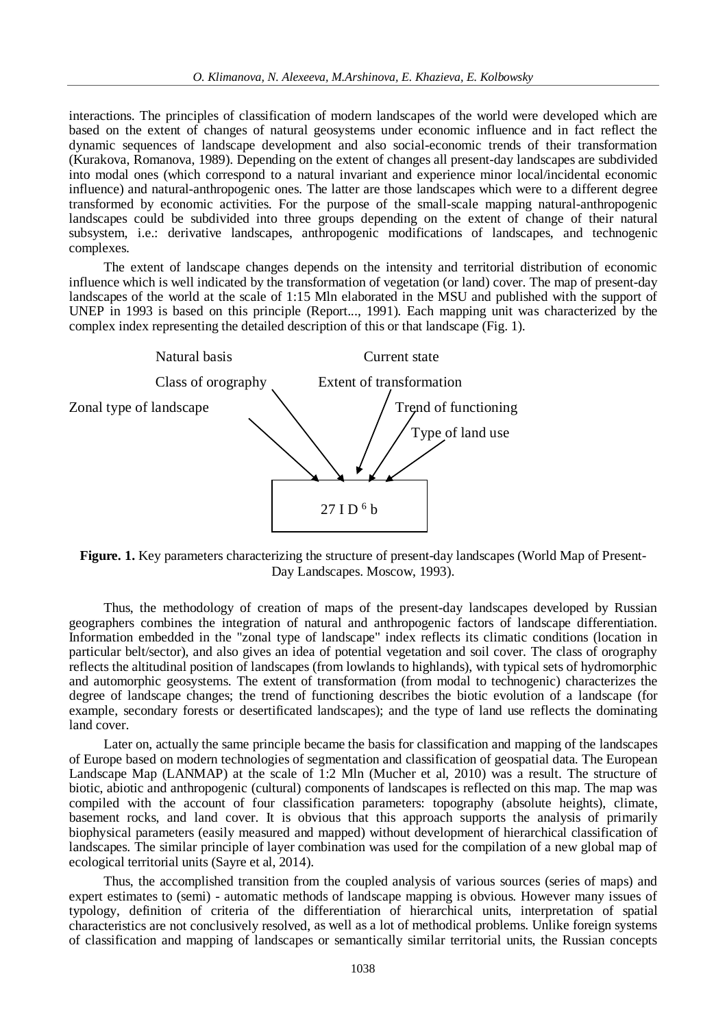interactions. The principles of classification of modern landscapes of the world were developed which are based on the extent of changes of natural geosystems under economic influence and in fact reflect the dynamic sequences of landscape development and also social-economic trends of their transformation (Kurakova, Romanova, 1989). Depending on the extent of changes all present-day landscapes are subdivided into modal ones (which correspond to a natural invariant and experience minor local/incidental economic influence) and natural-anthropogenic ones. The latter are those landscapes which were to a different degree transformed by economic activities. For the purpose of the small-scale mapping natural-anthropogenic landscapes could be subdivided into three groups depending on the extent of change of their natural subsystem, i.e.: derivative landscapes, anthropogenic modifications of landscapes, and technogenic complexes.

The extent of landscape changes depends on the intensity and territorial distribution of economic influence which is well indicated by the transformation of vegetation (or land) cover. The map of present-day landscapes of the world at the scale of 1:15 Mln elaborated in the MSU and published with the support of UNEP in 1993 is based on this principle (Report..., 1991). Each mapping unit was characterized by the complex index representing the detailed description of this or that landscape (Fig. 1).



**Figure. 1.** Key parameters characterizing the structure of present-day landscapes (World Map of Present-Day Landscapes. Moscow, 1993).

Thus, the methodology of creation of maps of the present-day landscapes developed by Russian geographers combines the integration of natural and anthropogenic factors of landscape differentiation. Information embedded in the "zonal type of landscape" index reflects its climatic conditions (location in particular belt/sector), and also gives an idea of potential vegetation and soil cover. The class of orography reflects the altitudinal position of landscapes (from lowlands to highlands), with typical sets of hydromorphic and automorphic geosystems. The extent of transformation (from modal to technogenic) characterizes the degree of landscape changes; the trend of functioning describes the biotic evolution of a landscape (for example, secondary forests or desertificated landscapes); and the type of land use reflects the dominating land cover.

Later on, actually the same principle became the basis for classification and mapping of the landscapes of Europe based on modern technologies of segmentation and classification of geospatial data. The European Landscape Map (LANMAP) at the scale of 1:2 Mln (Mucher et al, 2010) was a result. The structure of biotic, abiotic and anthropogenic (cultural) components of landscapes is reflected on this map. The map was compiled with the account of four classification parameters: topography (absolute heights), climate, basement rocks, and land cover. It is obvious that this approach supports the analysis of primarily biophysical parameters (easily measured and mapped) without development of hierarchical classification of landscapes. The similar principle of layer combination was used for the compilation of a new global map of ecological territorial units (Sayre et al, 2014).

Thus, the accomplished transition from the coupled analysis of various sources (series of maps) and expert estimates to (semi) - automatic methods of landscape mapping is obvious. However many issues of typology, definition of criteria of the differentiation of hierarchical units, interpretation of spatial characteristics are not conclusively resolved, as well as a lot of methodical problems. Unlike foreign systems of classification and mapping of landscapes or semantically similar territorial units, the Russian concepts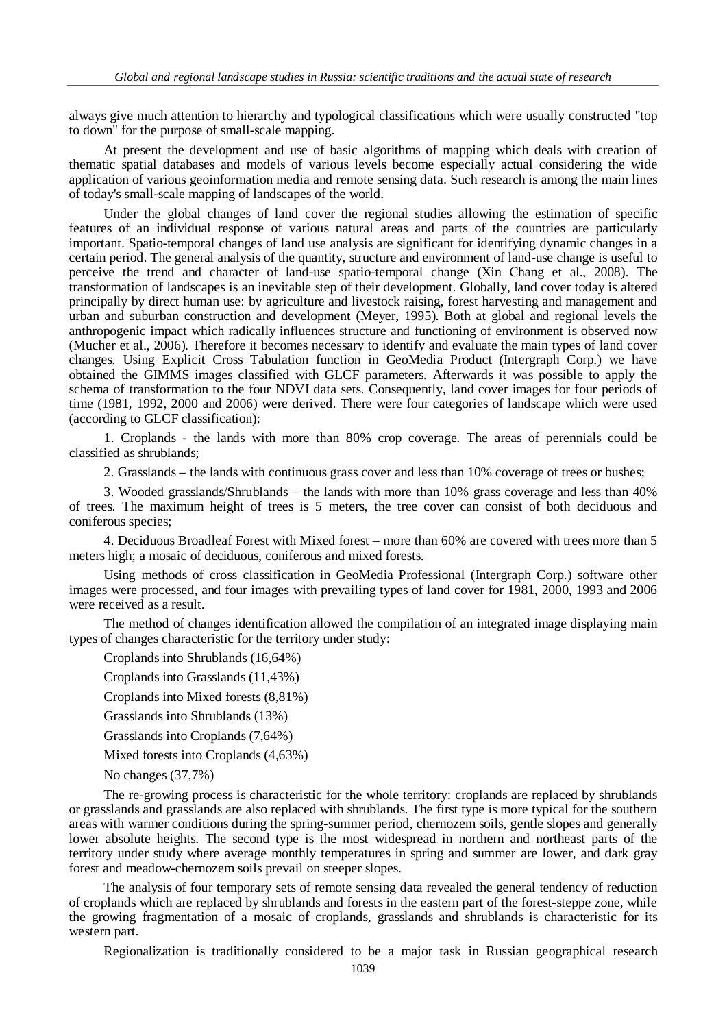always give much attention to hierarchy and typological classifications which were usually constructed "top to down" for the purpose of small-scale mapping.

At present the development and use of basic algorithms of mapping which deals with creation of thematic spatial databases and models of various levels become especially actual considering the wide application of various geoinformation media and remote sensing data. Such research is among the main lines of today's small-scale mapping of landscapes of the world.

Under the global changes of land cover the regional studies allowing the estimation of specific features of an individual response of various natural areas and parts of the countries are particularly important. Spatio-temporal changes of land use analysis are significant for identifying dynamic changes in a certain period. The general analysis of the quantity, structure and environment of land-use change is useful to perceive the trend and character of land-use spatio-temporal change (Xin Сhang et al., 2008). The transformation of landscapes is an inevitable step of their development. Globally, land cover today is altered principally by direct human use: by agriculture and livestock raising, forest harvesting and management and urban and suburban construction and development (Meyer, 1995). Both at global and regional levels the anthropogenic impact which radically influences structure and functioning of environment is observed now (Mucher et al., 2006). Therefore it becomes necessary to identify and evaluate the main types of land cover changes. Using Explicit Cross Tabulation function in GeoMedia Product (Intergraph Corp.) we have obtained the GIMMS images classified with GLCF parameters. Afterwards it was possible to apply the schema of transformation to the four NDVI data sets. Consequently, land cover images for four periods of time (1981, 1992, 2000 and 2006) were derived. There were four categories of landscape which were used (according to GLCF classification):

1. Croplands - the lands with more than 80% crop coverage. The areas of perennials could be classified as shrublands;

2. Grasslands – the lands with continuous grass cover and less than 10% coverage of trees or bushes;

3. Wooded grasslands/Shrublands – the lands with more than 10% grass coverage and less than 40% of trees. The maximum height of trees is 5 meters, the tree cover can consist of both deciduous and coniferous species;

4. Deciduous Broadleaf Forest with Mixed forest – more than 60% are covered with trees more than 5 meters high; a mosaic of deciduous, coniferous and mixed forests.

Using methods of cross classification in GeoMedia Professional (Intergraph Corp.) software other images were processed, and four images with prevailing types of land cover for 1981, 2000, 1993 and 2006 were received as a result.

The method of changes identification allowed the compilation of an integrated image displaying main types of changes characteristic for the territory under study:

Croplands into Shrublands (16,64%)

Croplands into Grasslands (11,43%)

Croplands into Mixed forests (8,81%)

Grasslands into Shrublands (13%)

Grasslands into Croplands (7,64%)

Mixed forests into Croplands (4,63%)

No changes (37,7%)

The re-growing process is characteristic for the whole territory: croplands are replaced by shrublands or grasslands and grasslands are also replaced with shrublands. The first type is more typical for the southern areas with warmer conditions during the spring-summer period, chernozem soils, gentle slopes and generally lower absolute heights. The second type is the most widespread in northern and northeast parts of the territory under study where average monthly temperatures in spring and summer are lower, and dark gray forest and meadow-chernozem soils prevail on steeper slopes.

The analysis of four temporary sets of remote sensing data revealed the general tendency of reduction of croplands which are replaced by shrublands and forests in the eastern part of the forest-steppe zone, while the growing fragmentation of a mosaic of croplands, grasslands and shrublands is characteristic for its western part.

Regionalization is traditionally considered to be a major task in Russian geographical research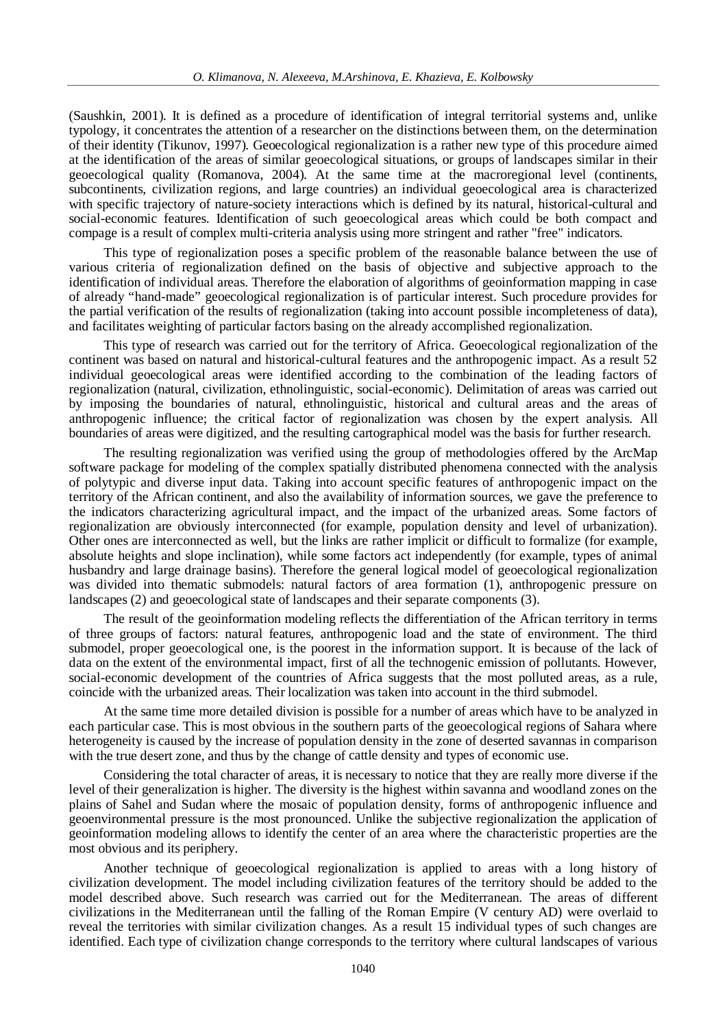(Saushkin, 2001). It is defined as a procedure of identification of integral territorial systems and, unlike typology, it concentrates the attention of a researcher on the distinctions between them, on the determination of their identity (Tikunov, 1997). Geoecological regionalization is a rather new type of this procedure aimed at the identification of the areas of similar geoecological situations, or groups of landscapes similar in their geoecological quality (Romanova, 2004). At the same time at the macroregional level (continents, subcontinents, civilization regions, and large countries) an individual geoecological area is characterized with specific trajectory of nature-society interactions which is defined by its natural, historical-cultural and social-economic features. Identification of such geoecological areas which could be both compact and compage is a result of complex multi-criteria analysis using more stringent and rather "free" indicators.

This type of regionalization poses a specific problem of the reasonable balance between the use of various criteria of regionalization defined on the basis of objective and subjective approach to the identification of individual areas. Therefore the elaboration of algorithms of geoinformation mapping in case of already "hand-made" geoecological regionalization is of particular interest. Such procedure provides for the partial verification of the results of regionalization (taking into account possible incompleteness of data), and facilitates weighting of particular factors basing on the already accomplished regionalization.

This type of research was carried out for the territory of Africa. Geoecological regionalization of the continent was based on natural and historical-cultural features and the anthropogenic impact. As a result 52 individual geoecological areas were identified according to the combination of the leading factors of regionalization (natural, civilization, ethnolinguistic, social-economic). Delimitation of areas was carried out by imposing the boundaries of natural, ethnolinguistic, historical and cultural areas and the areas of anthropogenic influence; the critical factor of regionalization was chosen by the expert analysis. All boundaries of areas were digitized, and the resulting cartographical model was the basis for further research.

The resulting regionalization was verified using the group of methodologies offered by the ArcMap software package for modeling of the complex spatially distributed phenomena connected with the analysis of polytypic and diverse input data. Taking into account specific features of anthropogenic impact on the territory of the African continent, and also the availability of information sources, we gave the preference to the indicators characterizing agricultural impact, and the impact of the urbanized areas. Some factors of regionalization are obviously interconnected (for example, population density and level of urbanization). Other ones are interconnected as well, but the links are rather implicit or difficult to formalize (for example, absolute heights and slope inclination), while some factors act independently (for example, types of animal husbandry and large drainage basins). Therefore the general logical model of geoecological regionalization was divided into thematic submodels: natural factors of area formation (1), anthropogenic pressure on landscapes (2) and geoecological state of landscapes and their separate components (3).

The result of the geoinformation modeling reflects the differentiation of the African territory in terms of three groups of factors: natural features, anthropogenic load and the state of environment. The third submodel, proper geoecological one, is the poorest in the information support. It is because of the lack of data on the extent of the environmental impact, first of all the technogenic emission of pollutants. However, social-economic development of the countries of Africa suggests that the most polluted areas, as a rule, coincide with the urbanized areas. Their localization was taken into account in the third submodel.

At the same time more detailed division is possible for a number of areas which have to be analyzed in each particular case. This is most obvious in the southern parts of the geoecological regions of Sahara where heterogeneity is caused by the increase of population density in the zone of deserted savannas in comparison with the true desert zone, and thus by the change of cattle density and types of economic use.

Considering the total character of areas, it is necessary to notice that they are really more diverse if the level of their generalization is higher. The diversity is the highest within savanna and woodland zones on the plains of Sahel and Sudan where the mosaic of population density, forms of anthropogenic influence and geoenvironmental pressure is the most pronounced. Unlike the subjective regionalization the application of geoinformation modeling allows to identify the center of an area where the characteristic properties are the most obvious and its periphery.

Another technique of geoecological regionalization is applied to areas with a long history of civilization development. The model including civilization features of the territory should be added to the model described above. Such research was carried out for the Mediterranean. The areas of different civilizations in the Mediterranean until the falling of the Roman Empire (V century AD) were overlaid to reveal the territories with similar civilization changes. As a result 15 individual types of such changes are identified. Each type of civilization change corresponds to the territory where cultural landscapes of various